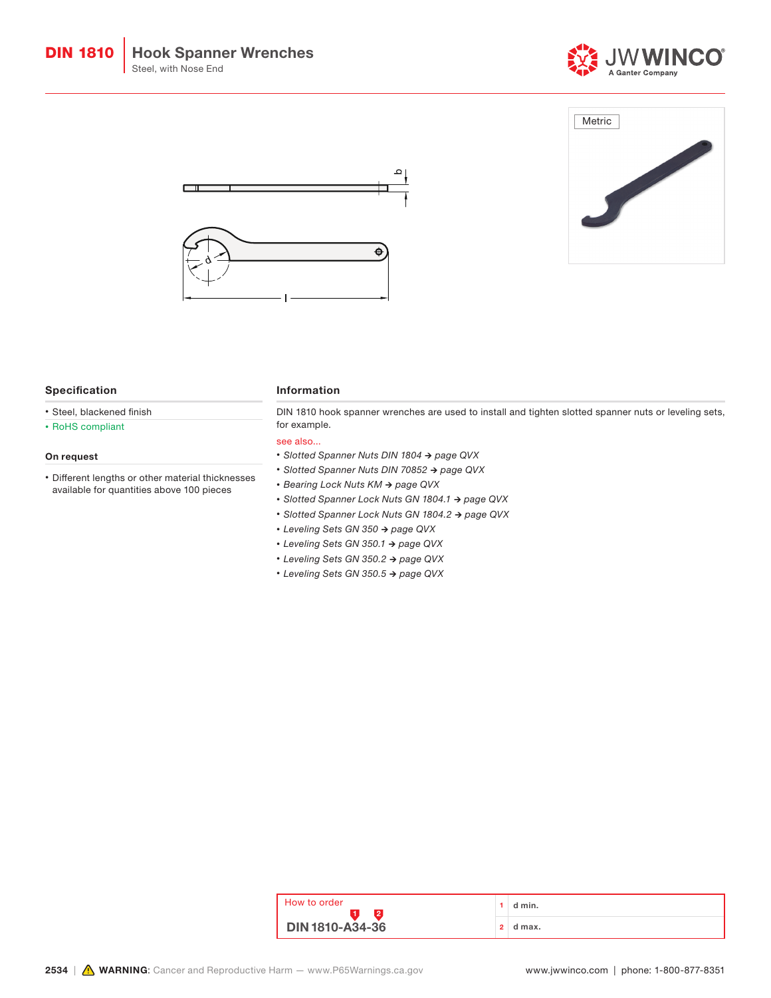





### Specification

- Steel, blackened finish
- RoHS compliant

## On request

• Different lengths or other material thicknesses available for quantities above 100 pieces

### Information

DIN 1810 hook spanner wrenches are used to install and tighten slotted spanner nuts or leveling sets, for example.

#### see also...

- *• Slotted Spanner Nuts DIN 1804 → page QVX*
- *• Slotted Spanner Nuts DIN 70852 → page QVX*
- *• Bearing Lock Nuts KM → page QVX*
- *• Slotted Spanner Lock Nuts GN 1804.1 → page QVX*
- *• Slotted Spanner Lock Nuts GN 1804.2 → page QVX*
- *• Leveling Sets GN 350 → page QVX*
- *• Leveling Sets GN 350.1 → page QVX*
- *• Leveling Sets GN 350.2 → page QVX*
- *• Leveling Sets GN 350.5 → page QVX*

| . How to order<br>$\vert$ DIN 1810-A34-36 |   | d min. |
|-------------------------------------------|---|--------|
|                                           | ົ | d max. |